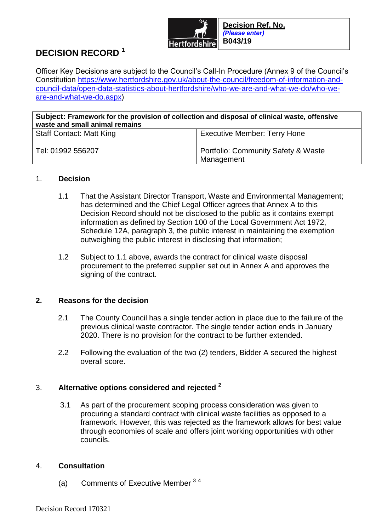

# **DECISION RECORD <sup>1</sup>**

Officer Key Decisions are subject to the Council's Call-In Procedure (Annex 9 of the Council's Constitution [https://www.hertfordshire.gov.uk/about-the-council/freedom-of-information-and](https://www.hertfordshire.gov.uk/about-the-council/freedom-of-information-and-council-data/open-data-statistics-about-hertfordshire/who-we-are-and-what-we-do/who-we-are-and-what-we-do.aspx)[council-data/open-data-statistics-about-hertfordshire/who-we-are-and-what-we-do/who-we](https://www.hertfordshire.gov.uk/about-the-council/freedom-of-information-and-council-data/open-data-statistics-about-hertfordshire/who-we-are-and-what-we-do/who-we-are-and-what-we-do.aspx)[are-and-what-we-do.aspx\)](https://www.hertfordshire.gov.uk/about-the-council/freedom-of-information-and-council-data/open-data-statistics-about-hertfordshire/who-we-are-and-what-we-do/who-we-are-and-what-we-do.aspx)

| Subject: Framework for the provision of collection and disposal of clinical waste, offensive<br>waste and small animal remains |                                                              |
|--------------------------------------------------------------------------------------------------------------------------------|--------------------------------------------------------------|
| <b>Staff Contact: Matt King</b>                                                                                                | <b>Executive Member: Terry Hone</b>                          |
| Tel: 01992 556207                                                                                                              | <b>Portfolio: Community Safety &amp; Waste</b><br>Management |

## 1. **Decision**

- 1.1 That the Assistant Director Transport, Waste and Environmental Management; has determined and the Chief Legal Officer agrees that Annex A to this Decision Record should not be disclosed to the public as it contains exempt information as defined by Section 100 of the Local Government Act 1972, Schedule 12A, paragraph 3, the public interest in maintaining the exemption outweighing the public interest in disclosing that information;
- 1.2 Subject to 1.1 above, awards the contract for clinical waste disposal procurement to the preferred supplier set out in Annex A and approves the signing of the contract.

## **2. Reasons for the decision**

- 2.1 The County Council has a single tender action in place due to the failure of the previous clinical waste contractor. The single tender action ends in January 2020. There is no provision for the contract to be further extended.
- 2.2 Following the evaluation of the two (2) tenders, Bidder A secured the highest overall score.

## 3. **Alternative options considered and rejected <sup>2</sup>**

3.1 As part of the procurement scoping process consideration was given to procuring a standard contract with clinical waste facilities as opposed to a framework. However, this was rejected as the framework allows for best value through economies of scale and offers joint working opportunities with other councils.

## 4. **Consultation**

(a) Comments of Executive Member  $34$